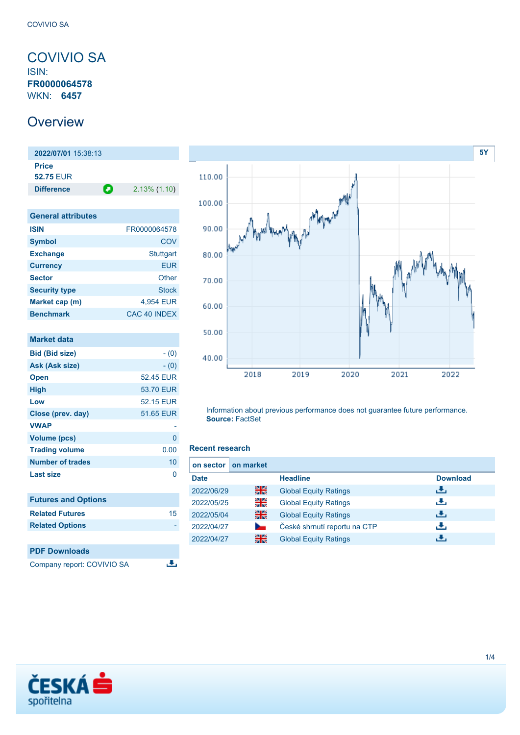### <span id="page-0-0"></span>COVIVIO SA ISIN: **FR0000064578** WKN: **6457**

## **Overview**

**2022/07/01** 15:38:13 **Price 52.75** EUR **Difference 2.13% (1.10)** 

| <b>General attributes</b> |                  |
|---------------------------|------------------|
| <b>ISIN</b>               | FR0000064578     |
| <b>Symbol</b>             | COV              |
| <b>Exchange</b>           | <b>Stuttgart</b> |
| <b>Currency</b>           | <b>EUR</b>       |
| <b>Sector</b>             | Other            |
| <b>Security type</b>      | <b>Stock</b>     |
| Market cap (m)            | 4,954 EUR        |
| <b>Benchmark</b>          | CAC 40 INDEX     |

| <b>Market data</b>         |           |
|----------------------------|-----------|
| <b>Bid (Bid size)</b>      | $- (0)$   |
| Ask (Ask size)             | $- (0)$   |
| <b>Open</b>                | 52.45 EUR |
| <b>High</b>                | 53.70 EUR |
| Low                        | 52.15 EUR |
| Close (prev. day)          | 51.65 EUR |
| <b>VWAP</b>                |           |
| <b>Volume (pcs)</b>        | 0         |
| <b>Trading volume</b>      | 0.00      |
| <b>Number of trades</b>    | 10        |
| Last size                  | 0         |
|                            |           |
| <b>Futures and Options</b> |           |
| <b>Related Futures</b>     | 15        |
| <b>Related Options</b>     |           |
|                            |           |
| <b>PDF Downloads</b>       |           |
| Company report: COVIVIO SA |           |



Information about previous performance does not guarantee future performance. **Source:** FactSet

### **Recent research**

| on sector I | on market |                              |                 |
|-------------|-----------|------------------------------|-----------------|
| <b>Date</b> |           | <b>Headline</b>              | <b>Download</b> |
| 2022/06/29  | 을중        | <b>Global Equity Ratings</b> | е.              |
| 2022/05/25  | 읡         | <b>Global Equity Ratings</b> | æ,              |
| 2022/05/04  | 을중        | <b>Global Equity Ratings</b> | æ,              |
| 2022/04/27  |           | České shrnutí reportu na CTP | رنان            |
| 2022/04/27  | 을         | <b>Global Equity Ratings</b> | ٠₩.             |

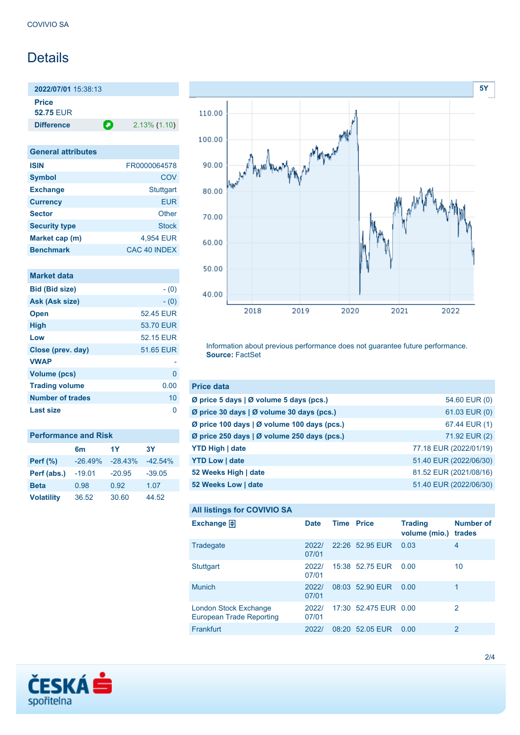# **Details**

**2022/07/01** 15:38:13 **Price 52.75** EUR

**Difference 2.13% (1.10)** 

| <b>General attributes</b> |                     |
|---------------------------|---------------------|
| <b>ISIN</b>               | FR0000064578        |
| <b>Symbol</b>             | COV                 |
| <b>Exchange</b>           | <b>Stuttgart</b>    |
| <b>Currency</b>           | <b>EUR</b>          |
| <b>Sector</b>             | Other               |
| <b>Security type</b>      | <b>Stock</b>        |
| Market cap (m)            | 4,954 EUR           |
| <b>Benchmark</b>          | <b>CAC 40 INDEX</b> |

| Market data             |           |
|-------------------------|-----------|
| <b>Bid (Bid size)</b>   | $- (0)$   |
| Ask (Ask size)          | $- (0)$   |
| <b>Open</b>             | 52.45 EUR |
| <b>High</b>             | 53.70 EUR |
| Low                     | 52.15 EUR |
| Close (prev. day)       | 51.65 EUR |
| <b>VWAP</b>             |           |
| <b>Volume (pcs)</b>     | 0         |
| <b>Trading volume</b>   | 0.00      |
| <b>Number of trades</b> | 10        |
| <b>Last size</b>        | n         |

| <b>Performance and Risk</b> |           |           |            |  |
|-----------------------------|-----------|-----------|------------|--|
|                             | 6m        | 1Y        | 3Υ         |  |
| <b>Perf (%)</b>             | $-26.49%$ | $-28.43%$ | $-42.54\%$ |  |
| Perf (abs.)                 | $-19.01$  | $-20.95$  | $-39.05$   |  |
| <b>Beta</b>                 | 0.98      | 0.92      | 1.07       |  |
| <b>Volatility</b>           | 36.52     | 30.60     | 44.52      |  |



Information about previous performance does not guarantee future performance. **Source:** FactSet

| <b>Price data</b>                           |                        |
|---------------------------------------------|------------------------|
| Ø price 5 days   Ø volume 5 days (pcs.)     | 54.60 EUR (0)          |
| Ø price 30 days   Ø volume 30 days (pcs.)   | 61.03 EUR (0)          |
| Ø price 100 days   Ø volume 100 days (pcs.) | 67.44 EUR (1)          |
| Ø price 250 days   Ø volume 250 days (pcs.) | 71.92 EUR (2)          |
| <b>YTD High   date</b>                      | 77.18 EUR (2022/01/19) |
| <b>YTD Low   date</b>                       | 51.40 EUR (2022/06/30) |
| 52 Weeks High   date                        | 81.52 EUR (2021/08/16) |
| 52 Weeks Low   date                         | 51.40 EUR (2022/06/30) |

```
All listings for COVIVIO SA
```

| ⊷                                                        |                |                   |                       |                                 |                            |
|----------------------------------------------------------|----------------|-------------------|-----------------------|---------------------------------|----------------------------|
| Exchange $\bigoplus$                                     | <b>Date</b>    | <b>Time Price</b> |                       | <b>Trading</b><br>volume (mio.) | <b>Number of</b><br>trades |
| Tradegate                                                | 2022/<br>07/01 |                   | 22:26 52.95 EUR       | 0.03                            | 4                          |
| Stuttgart                                                | 2022/<br>07/01 |                   | 15:38 52.75 EUR       | 0.00                            | 10                         |
| <b>Munich</b>                                            | 2022/<br>07/01 |                   | 08:03 52.90 EUR       | 0.00                            | 1                          |
| London Stock Exchange<br><b>European Trade Reporting</b> | 2022/<br>07/01 |                   | 17:30 52.475 EUR 0.00 |                                 | 2                          |
| Frankfurt                                                | 2022/          |                   | 08:20 52.05 EUR       | 0.00                            | 2                          |

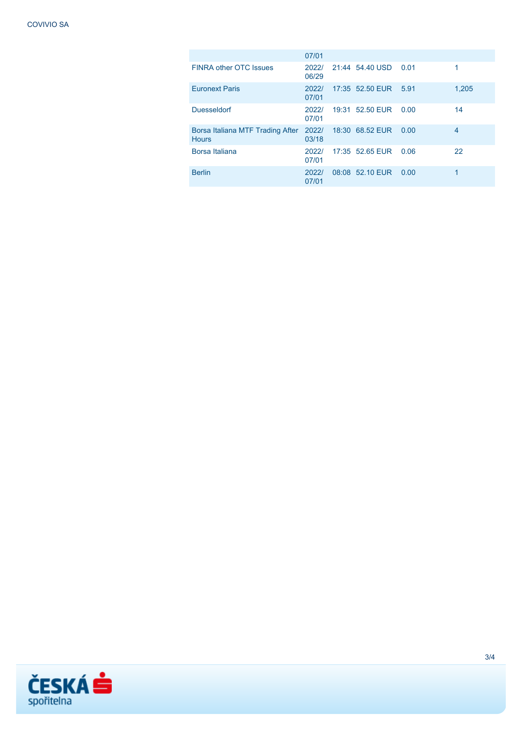|                                                        | 07/01          |                      |      |       |
|--------------------------------------------------------|----------------|----------------------|------|-------|
| <b>FINRA other OTC Issues</b>                          | 2022/<br>06/29 | 21:44 54.40 USD      | 0.01 |       |
| <b>Euronext Paris</b>                                  | 2022/<br>07/01 | 17:35 52.50 EUR 5.91 |      | 1,205 |
| <b>Duesseldorf</b>                                     | 2022/<br>07/01 | 19:31 52.50 EUR      | 0.00 | 14    |
| Borsa Italiana MTF Trading After 2022/<br><b>Hours</b> | 03/18          | 18:30 68.52 EUR      | 0.00 | 4     |
| Borsa Italiana                                         | 2022/<br>07/01 | 17:35 52.65 EUR      | 0.06 | 22    |
| <b>Berlin</b>                                          | 2022/<br>07/01 | 08:08 52.10 EUR      | 0.00 | 1     |